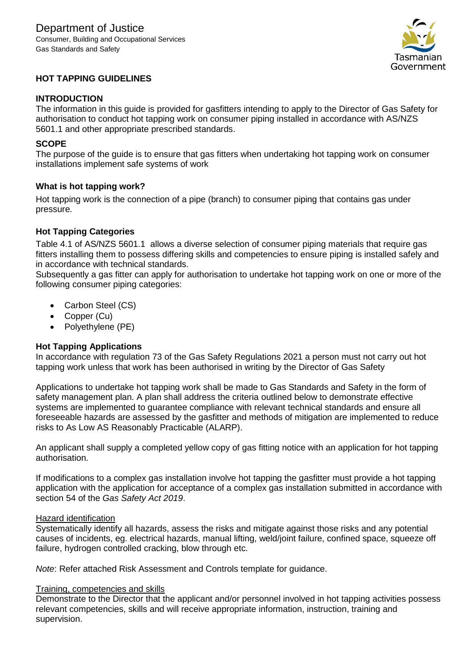

# **HOT TAPPING GUIDELINES**

### **INTRODUCTION**

The information in this guide is provided for gasfitters intending to apply to the Director of Gas Safety for authorisation to conduct hot tapping work on consumer piping installed in accordance with AS/NZS 5601.1 and other appropriate prescribed standards.

#### **SCOPE**

The purpose of the guide is to ensure that gas fitters when undertaking hot tapping work on consumer installations implement safe systems of work

### **What is hot tapping work?**

Hot tapping work is the connection of a pipe (branch) to consumer piping that contains gas under pressure.

### **Hot Tapping Categories**

Table 4.1 of AS/NZS 5601.1 allows a diverse selection of consumer piping materials that require gas fitters installing them to possess differing skills and competencies to ensure piping is installed safely and in accordance with technical standards.

Subsequently a gas fitter can apply for authorisation to undertake hot tapping work on one or more of the following consumer piping categories:

- Carbon Steel (CS)
- Copper (Cu)
- Polyethylene (PE)

### **Hot Tapping Applications**

In accordance with regulation 73 of the Gas Safety Regulations 2021 a person must not carry out hot tapping work unless that work has been authorised in writing by the Director of Gas Safety

Applications to undertake hot tapping work shall be made to Gas Standards and Safety in the form of safety management plan. A plan shall address the criteria outlined below to demonstrate effective systems are implemented to guarantee compliance with relevant technical standards and ensure all foreseeable hazards are assessed by the gasfitter and methods of mitigation are implemented to reduce risks to As Low AS Reasonably Practicable (ALARP).

An applicant shall supply a completed yellow copy of gas fitting notice with an application for hot tapping authorisation.

If modifications to a complex gas installation involve hot tapping the gasfitter must provide a hot tapping application with the application for acceptance of a complex gas installation submitted in accordance with section 54 of the *Gas Safety Act 2019*.

#### Hazard identification

Systematically identify all hazards, assess the risks and mitigate against those risks and any potential causes of incidents, eg. electrical hazards, manual lifting, weld/joint failure, confined space, squeeze off failure, hydrogen controlled cracking, blow through etc.

*Note*: Refer attached Risk Assessment and Controls template for guidance.

#### Training, competencies and skills

Demonstrate to the Director that the applicant and/or personnel involved in hot tapping activities possess relevant competencies, skills and will receive appropriate information, instruction, training and supervision.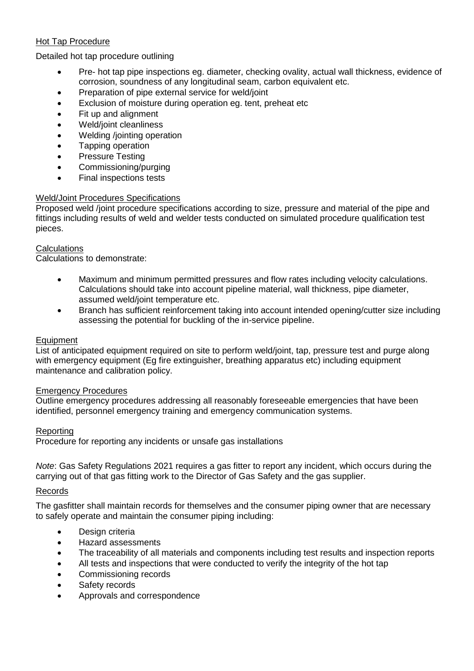# Hot Tap Procedure

## Detailed hot tap procedure outlining

- Pre- hot tap pipe inspections eg. diameter, checking ovality, actual wall thickness, evidence of corrosion, soundness of any longitudinal seam, carbon equivalent etc.
- Preparation of pipe external service for weld/joint
- Exclusion of moisture during operation eg. tent, preheat etc
- Fit up and alignment
- Weld/joint cleanliness
- Welding /jointing operation
- Tapping operation
- Pressure Testing
- Commissioning/purging
- Final inspections tests

### Weld/Joint Procedures Specifications

Proposed weld /joint procedure specifications according to size, pressure and material of the pipe and fittings including results of weld and welder tests conducted on simulated procedure qualification test pieces.

### **Calculations**

Calculations to demonstrate:

- Maximum and minimum permitted pressures and flow rates including velocity calculations. Calculations should take into account pipeline material, wall thickness, pipe diameter, assumed weld/joint temperature etc.
- Branch has sufficient reinforcement taking into account intended opening/cutter size including assessing the potential for buckling of the in-service pipeline.

### Equipment

List of anticipated equipment required on site to perform weld/joint, tap, pressure test and purge along with emergency equipment (Eg fire extinguisher, breathing apparatus etc) including equipment maintenance and calibration policy.

### Emergency Procedures

Outline emergency procedures addressing all reasonably foreseeable emergencies that have been identified, personnel emergency training and emergency communication systems.

#### Reporting

Procedure for reporting any incidents or unsafe gas installations

*Note*: Gas Safety Regulations 2021 requires a gas fitter to report any incident, which occurs during the carrying out of that gas fitting work to the Director of Gas Safety and the gas supplier.

#### Records

The gasfitter shall maintain records for themselves and the consumer piping owner that are necessary to safely operate and maintain the consumer piping including:

- Design criteria
- Hazard assessments
- The traceability of all materials and components including test results and inspection reports
- All tests and inspections that were conducted to verify the integrity of the hot tap
- Commissioning records
- Safety records
- Approvals and correspondence